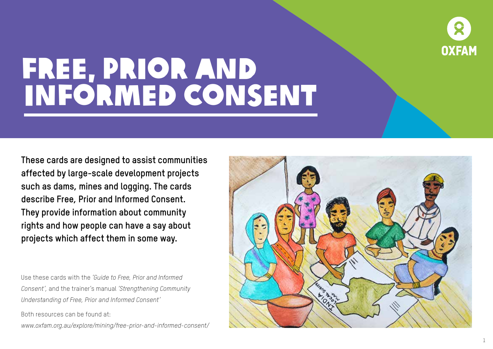

**These cards are designed to assist communities affected by large-scale development projects such as dams, mines and logging. The cards describe Free, Prior and Informed Consent. They provide information about community rights and how people can have a say about projects which affect them in some way.**

Use these cards with the *'Guide to Free, Prior and Informed Consent',* and the trainer's manual *'Strengthening Community Understanding of Free, Prior and Informed Consent'*

Both resources can be found at:

*www.oxfam.org.au/explore/mining/free-prior-and-informed-consent/*

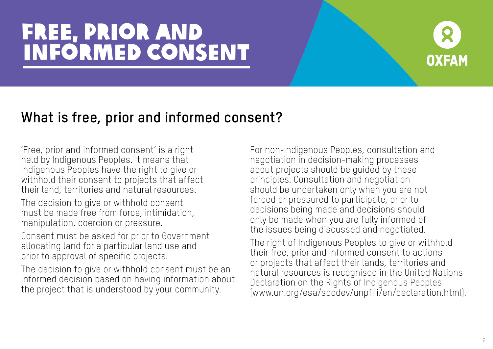

#### **What is free, prior and informed consent?**

'Free, prior and informed consent' is a right held by Indigenous Peoples. It means that Indigenous Peoples have the right to give or withhold their consent to projects that affect their land, territories and natural resources.

The decision to give or withhold consent must be made free from force, intimidation, manipulation, coercion or pressure.

Consent must be asked for prior to Government allocating land for a particular land use and prior to approval of specific projects.

The decision to give or withhold consent must be an informed decision based on having information about the project that is understood by your community.

For non-Indigenous Peoples, consultation and negotiation in decision-making processes about projects should be guided by these principles. Consultation and negotiation should be undertaken only when you are not forced or pressured to participate, prior to decisions being made and decisions should only be made when you are fully informed of the issues being discussed and negotiated.

The right of Indigenous Peoples to give or withhold their free, prior and informed consent to actions or projects that affect their lands, territories and natural resources is recognised in the United Nations Declaration on the Rights of Indigenous Peoples (www.un.org/esa/socdev/unpfi i/en/declaration.html).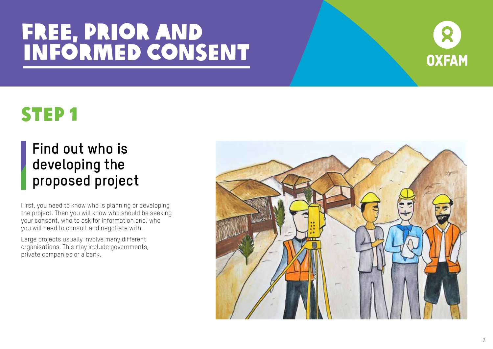

### STEP 1

### **Find out who is developing the proposed project**

First, you need to know who is planning or developing the project. Then you will know who should be seeking your consent, who to ask for information and, who you will need to consult and negotiate with.

Large projects usually involve many different organisations. This may include governments, private companies or a bank.

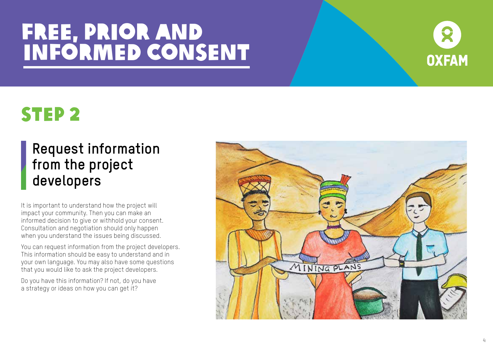

### STEP 2

#### **Request information from the project developers**

It is important to understand how the project will impact your community. Then you can make an informed decision to give or withhold your consent. Consultation and negotiation should only happen when you understand the issues being discussed.

You can request information from the project developers. This information should be easy to understand and in your own language. You may also have some questions that you would like to ask the project developers.

Do you have this information? If not, do you have a strategy or ideas on how you can get it?

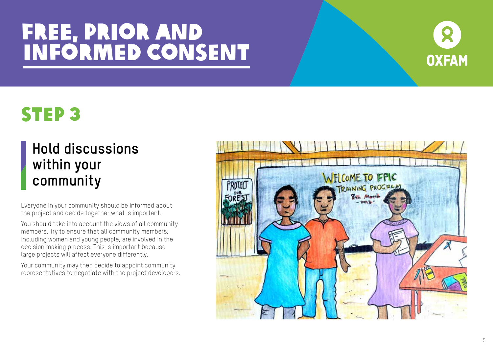

### STEP 3

### **Hold discussions within your community**

Everyone in your community should be informed about the project and decide together what is important.

You should take into account the views of all community members. Try to ensure that all community members, including women and young people, are involved in the decision making process. This is important because large projects will affect everyone differently.

Your community may then decide to appoint community representatives to negotiate with the project developers.

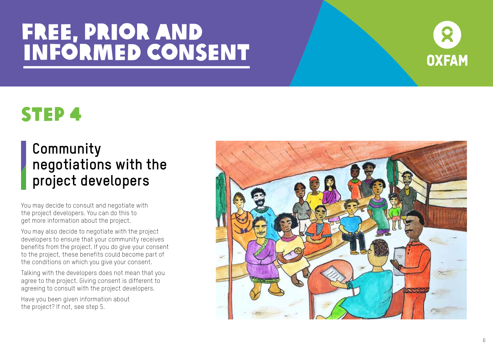

### STEP 4

#### **Community negotiations with the project developers**

You may decide to consult and negotiate with the project developers. You can do this to get more information about the project.

You may also decide to negotiate with the project developers to ensure that your community receives benefits from the project. If you do give your consent to the project, these benefits could become part of the conditions on which you give your consent.

Talking with the developers does not mean that you agree to the project. Giving consent is different to agreeing to consult with the project developers.

Have you been given information about the project? If not, see step 5.

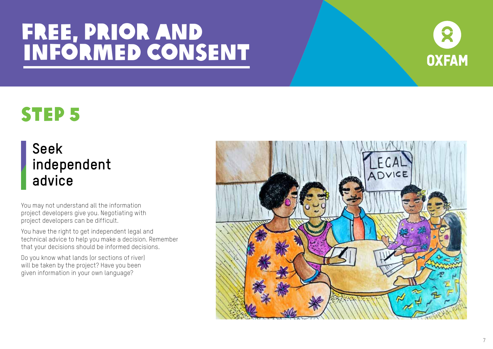

## STEP 5

#### **Seek independent advice**

You may not understand all the information project developers give you. Negotiating with project developers can be difficult.

You have the right to get independent legal and technical advice to help you make a decision. Remember that your decisions should be informed decisions.

Do you know what lands (or sections of river) will be taken by the project? Have you been given information in your own language?

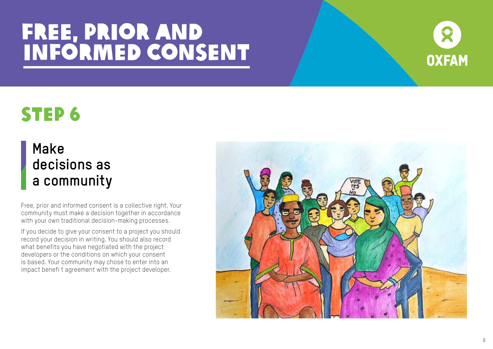

### STEP 6

#### **Make decisions as a community**

Free, prior and informed consent is a collective right. Your community must make a decision together in accordance with your own traditional decision-making processes.

If you decide to give your consent to a project you should record your decision in writing. You should also record what benefits you have negotiated with the project developers or the conditions on which your consent is based. Your community may chose to enter into an impact benefi t agreement with the project developer.